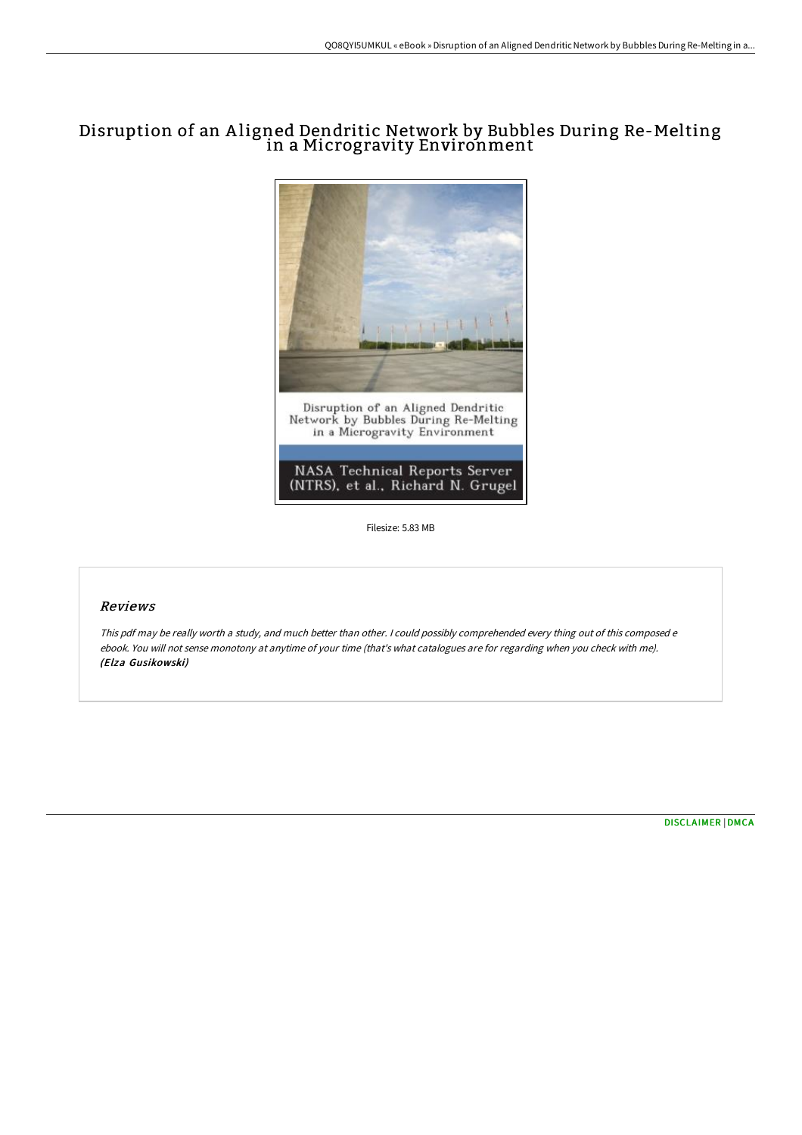## Disruption of an A ligned Dendritic Network by Bubbles During Re-Melting in a Microgravity Environment



Filesize: 5.83 MB

## Reviews

This pdf may be really worth <sup>a</sup> study, and much better than other. <sup>I</sup> could possibly comprehended every thing out of this composed <sup>e</sup> ebook. You will not sense monotony at anytime of your time (that's what catalogues are for regarding when you check with me). (Elza Gusikowski)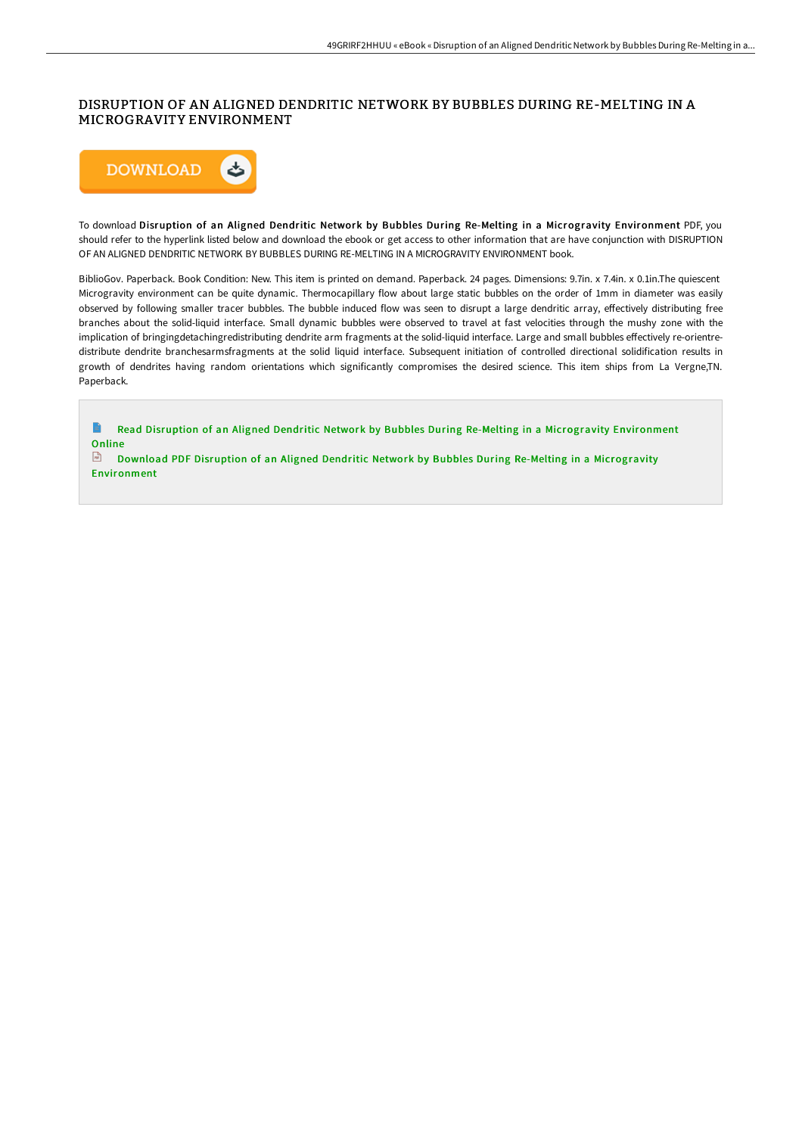## DISRUPTION OF AN ALIGNED DENDRITIC NETWORK BY BUBBLES DURING RE-MELTING IN A MICROGRAVITY ENVIRONMENT



To download Disruption of an Aligned Dendritic Network by Bubbles During Re-Melting in a Microgravity Environment PDF, you should refer to the hyperlink listed below and download the ebook or get access to other information that are have conjunction with DISRUPTION OF AN ALIGNED DENDRITIC NETWORK BY BUBBLES DURING RE-MELTING IN A MICROGRAVITY ENVIRONMENT book.

BiblioGov. Paperback. Book Condition: New. This item is printed on demand. Paperback. 24 pages. Dimensions: 9.7in. x 7.4in. x 0.1in.The quiescent Microgravity environment can be quite dynamic. Thermocapillary flow about large static bubbles on the order of 1mm in diameter was easily observed by following smaller tracer bubbles. The bubble induced flow was seen to disrupt a large dendritic array, eFectively distributing free branches about the solid-liquid interface. Small dynamic bubbles were observed to travel at fast velocities through the mushy zone with the implication of bringingdetachingredistributing dendrite arm fragments at the solid-liquid interface. Large and small bubbles effectively re-orientredistribute dendrite branchesarmsfragments at the solid liquid interface. Subsequent initiation of controlled directional solidification results in growth of dendrites having random orientations which significantly compromises the desired science. This item ships from La Vergne,TN. Paperback.

 $\blacksquare$ Read Disruption of an Aligned Dendritic Network by Bubbles During Re-Melting in a Microgravity [Environment](http://techno-pub.tech/disruption-of-an-aligned-dendritic-network-by-bu.html) Online

Download PDF Disruption of an Aligned Dendritic Network by Bubbles During Re-Melting in a Microgravity [Environment](http://techno-pub.tech/disruption-of-an-aligned-dendritic-network-by-bu.html)